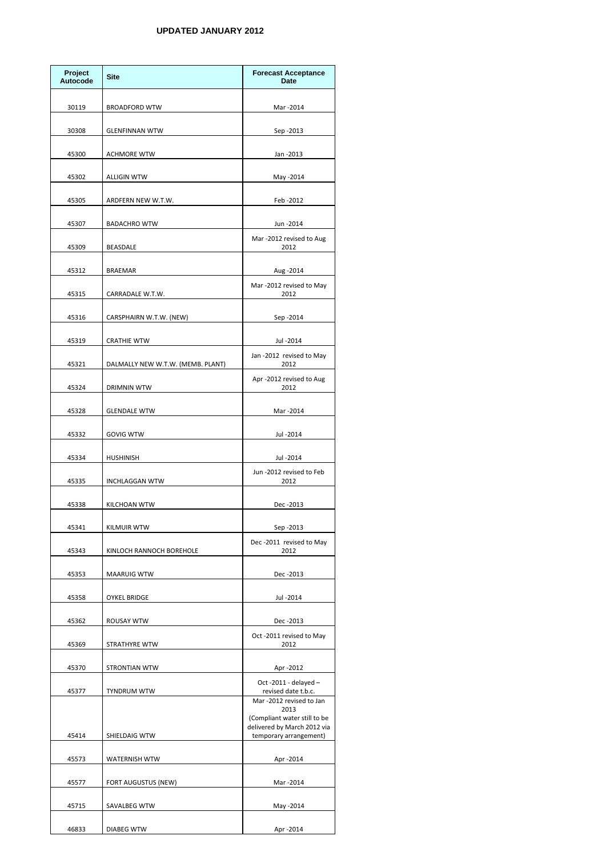| Project<br><b>Autocode</b> | <b>Site</b>                       | <b>Forecast Acceptance</b><br><b>Date</b>                                                     |
|----------------------------|-----------------------------------|-----------------------------------------------------------------------------------------------|
| 30119                      | <b>BROADFORD WTW</b>              | Mar -2014                                                                                     |
| 30308                      | <b>GLENFINNAN WTW</b>             | Sep -2013                                                                                     |
| 45300                      | <b>ACHMORE WTW</b>                | Jan - 2013                                                                                    |
| 45302                      | <b>ALLIGIN WTW</b>                | May -2014                                                                                     |
| 45305                      | ARDFERN NEW W.T.W.                | Feb-2012                                                                                      |
| 45307                      | <b>BADACHRO WTW</b>               | Jun -2014                                                                                     |
| 45309                      | <b>BEASDALE</b>                   | Mar -2012 revised to Aug<br>2012                                                              |
| 45312                      | <b>BRAEMAR</b>                    | Aug - 2014                                                                                    |
| 45315                      | CARRADALE W.T.W.                  | Mar -2012 revised to May<br>2012                                                              |
| 45316                      | CARSPHAIRN W.T.W. (NEW)           | Sep - 2014                                                                                    |
| 45319                      | <b>CRATHIE WTW</b>                | Jul -2014                                                                                     |
| 45321                      | DALMALLY NEW W.T.W. (MEMB. PLANT) | Jan -2012 revised to May<br>2012                                                              |
| 45324                      | DRIMNIN WTW                       | Apr -2012 revised to Aug<br>2012                                                              |
| 45328                      | <b>GLENDALE WTW</b>               | Mar -2014                                                                                     |
|                            | <b>GOVIG WTW</b>                  |                                                                                               |
| 45332                      |                                   | Jul - 2014                                                                                    |
| 45334                      | <b>HUSHINISH</b>                  | Jul -2014<br>Jun -2012 revised to Feb                                                         |
| 45335                      | <b>INCHLAGGAN WTW</b>             | 2012                                                                                          |
| 45338                      | KILCHOAN WTW                      | Dec -2013                                                                                     |
| 45341                      | <b>KILMUIR WTW</b>                | Sep -2013<br>Dec-2011 revised to May                                                          |
| 45343                      | KINLOCH RANNOCH BOREHOLE          | 2012                                                                                          |
| 45353                      | <b>MAARUIG WTW</b>                | Dec -2013                                                                                     |
| 45358                      | <b>OYKEL BRIDGE</b>               | Jul -2014                                                                                     |
| 45362                      | <b>ROUSAY WTW</b>                 | Dec -2013<br>Oct -2011 revised to May                                                         |
| 45369                      | STRATHYRE WTW                     | 2012                                                                                          |
| 45370                      | <b>STRONTIAN WTW</b>              | Apr -2012<br>Oct -2011 - delayed $-$                                                          |
| 45377                      | <b>TYNDRUM WTW</b>                | revised date t.b.c.<br>Mar-2012 revised to Jan                                                |
| 45414                      | SHIELDAIG WTW                     | 2013<br>(Compliant water still to be<br>delivered by March 2012 via<br>temporary arrangement) |
| 45573                      | <b>WATERNISH WTW</b>              | Apr -2014                                                                                     |
| 45577                      | FORT AUGUSTUS (NEW)               | Mar -2014                                                                                     |
| 45715                      | SAVALBEG WTW                      | May -2014                                                                                     |
| 46833                      | <b>DIABEG WTW</b>                 | Apr -2014                                                                                     |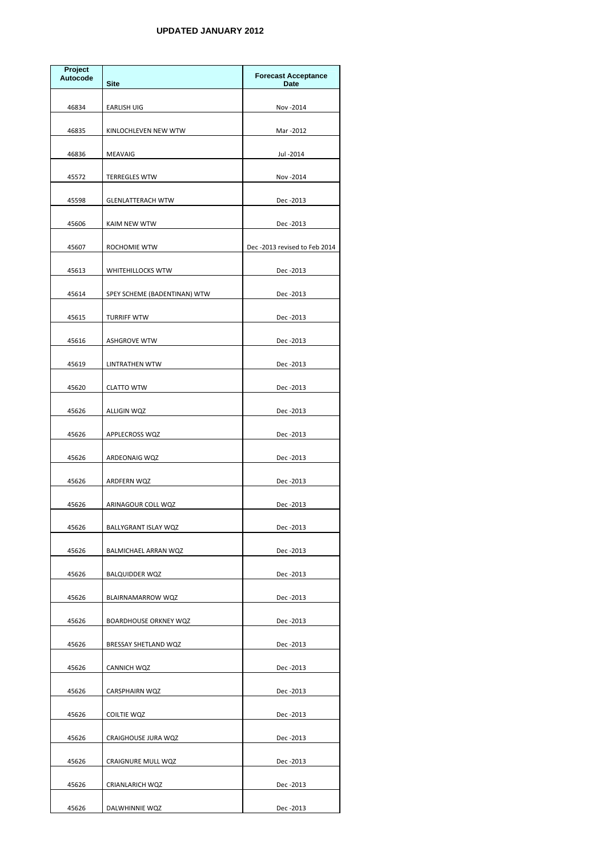| Project<br><b>Autocode</b> | <b>Site</b>                  | <b>Forecast Acceptance</b><br><b>Date</b> |
|----------------------------|------------------------------|-------------------------------------------|
| 46834                      | <b>EARLISH UIG</b>           | Nov - 2014                                |
| 46835                      | KINLOCHLEVEN NEW WTW         | Mar -2012                                 |
| 46836                      | <b>MEAVAIG</b>               | Jul - 2014                                |
| 45572                      | <b>TERREGLES WTW</b>         | Nov - 2014                                |
| 45598                      | <b>GLENLATTERACH WTW</b>     | Dec -2013                                 |
| 45606                      | KAIM NEW WTW                 | Dec -2013                                 |
| 45607                      | ROCHOMIE WTW                 | Dec-2013 revised to Feb 2014              |
| 45613                      | <b>WHITEHILLOCKS WTW</b>     | Dec-2013                                  |
| 45614                      | SPEY SCHEME (BADENTINAN) WTW | Dec -2013                                 |
| 45615                      | <b>TURRIFF WTW</b>           | Dec -2013                                 |
| 45616                      | <b>ASHGROVE WTW</b>          | Dec -2013                                 |
| 45619                      | LINTRATHEN WTW               | Dec -2013                                 |
| 45620                      | CLATTO WTW                   | Dec -2013                                 |
| 45626                      | ALLIGIN WQZ                  | Dec -2013                                 |
| 45626                      | APPLECROSS WQZ               | Dec -2013                                 |
| 45626                      | ARDEONAIG WQZ                | Dec -2013                                 |
| 45626                      | ARDFERN WQZ                  | Dec -2013                                 |
| 45626                      | ARINAGOUR COLL WQZ           | Dec -2013                                 |
| 45626                      | BALLYGRANT ISLAY WQZ         | Dec -2013                                 |
| 45626                      | BALMICHAEL ARRAN WQZ         | Dec -2013                                 |
| 45626                      | BALQUIDDER WQZ               | Dec -2013                                 |
| 45626                      | BLAIRNAMARROW WQZ            | Dec -2013                                 |
| 45626                      | <b>BOARDHOUSE ORKNEY WQZ</b> | Dec -2013                                 |
| 45626                      | BRESSAY SHETLAND WQZ         | Dec -2013                                 |
| 45626                      | CANNICH WQZ                  | Dec -2013                                 |
| 45626                      | <b>CARSPHAIRN WQZ</b>        | Dec -2013                                 |
| 45626                      | COILTIE WQZ                  | Dec -2013                                 |
| 45626                      | CRAIGHOUSE JURA WQZ          | Dec -2013                                 |
| 45626                      | <b>CRAIGNURE MULL WQZ</b>    | Dec -2013                                 |
| 45626                      | <b>CRIANLARICH WQZ</b>       | Dec -2013                                 |
| 45626                      | DALWHINNIE WQZ               | Dec-2013                                  |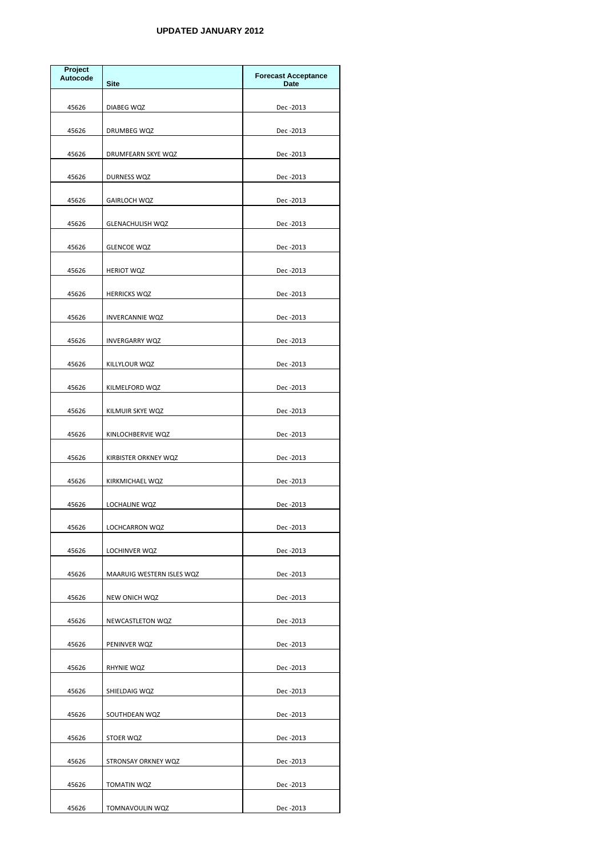| <b>Project</b><br><b>Autocode</b> | <b>Site</b>               | <b>Forecast Acceptance</b><br><b>Date</b> |
|-----------------------------------|---------------------------|-------------------------------------------|
| 45626                             | DIABEG WQZ                | Dec -2013                                 |
| 45626                             | DRUMBEG WQZ               | Dec -2013                                 |
| 45626                             | DRUMFEARN SKYE WQZ        | Dec -2013                                 |
| 45626                             | DURNESS WQZ               | Dec -2013                                 |
| 45626                             | GAIRLOCH WQZ              | Dec -2013                                 |
| 45626                             | <b>GLENACHULISH WQZ</b>   | Dec -2013                                 |
| 45626                             | <b>GLENCOE WQZ</b>        | Dec -2013                                 |
| 45626                             | <b>HERIOT WQZ</b>         | Dec -2013                                 |
| 45626                             | <b>HERRICKS WQZ</b>       | Dec -2013                                 |
| 45626                             | <b>INVERCANNIE WQZ</b>    | Dec -2013                                 |
| 45626                             | <b>INVERGARRY WQZ</b>     | Dec -2013                                 |
| 45626                             | KILLYLOUR WQZ             | Dec -2013                                 |
| 45626                             | KILMELFORD WQZ            | Dec -2013                                 |
| 45626                             | KILMUIR SKYE WQZ          | Dec -2013                                 |
| 45626                             | KINLOCHBERVIE WQZ         | Dec -2013                                 |
| 45626                             | KIRBISTER ORKNEY WQZ      | Dec -2013                                 |
| 45626                             | KIRKMICHAEL WQZ           | Dec -2013                                 |
| 45626                             | LOCHALINE WQZ             | Dec -2013                                 |
| 45626                             | LOCHCARRON WQZ            | Dec -2013                                 |
| 45626                             | LOCHINVER WQZ             | Dec -2013                                 |
| 45626                             | MAARUIG WESTERN ISLES WQZ | Dec -2013                                 |
| 45626                             | NEW ONICH WQZ             | Dec -2013                                 |
| 45626                             | NEWCASTLETON WQZ          | Dec -2013                                 |
| 45626                             | PENINVER WQZ              | Dec -2013                                 |
| 45626                             | RHYNIE WQZ                | Dec -2013                                 |
| 45626                             | SHIELDAIG WQZ             | Dec -2013                                 |
| 45626                             | SOUTHDEAN WQZ             | Dec -2013                                 |
| 45626                             | STOER WQZ                 | Dec -2013                                 |
| 45626                             | STRONSAY ORKNEY WQZ       | Dec -2013                                 |
| 45626                             | TOMATIN WQZ               | Dec -2013                                 |
| 45626                             | TOMNAVOULIN WQZ           | Dec-2013                                  |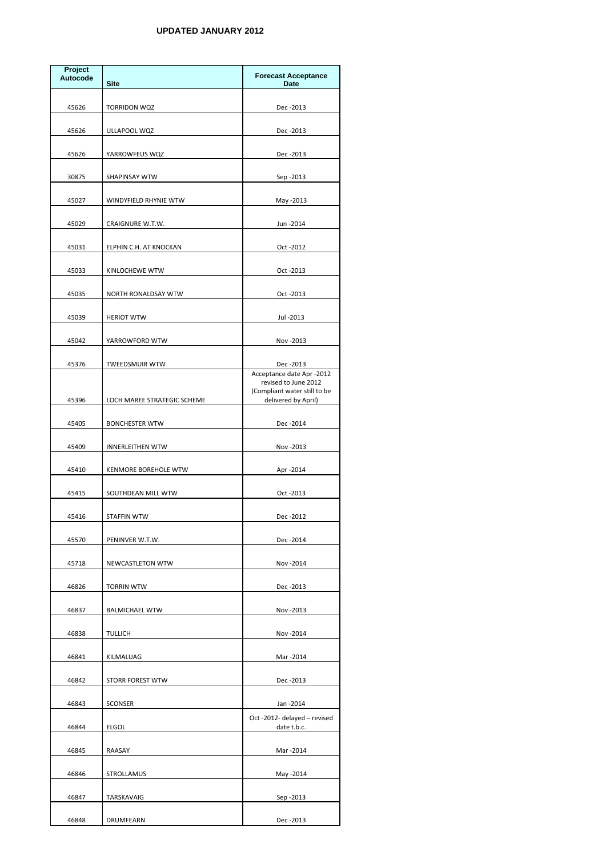| Project<br><b>Autocode</b> | <b>Site</b>                 | <b>Forecast Acceptance</b><br><b>Date</b>                                                                |
|----------------------------|-----------------------------|----------------------------------------------------------------------------------------------------------|
| 45626                      | <b>TORRIDON WQZ</b>         | Dec -2013                                                                                                |
| 45626                      | ULLAPOOL WQZ                | Dec -2013                                                                                                |
| 45626                      | YARROWFEUS WQZ              | Dec -2013                                                                                                |
| 30875                      | <b>SHAPINSAY WTW</b>        | Sep -2013                                                                                                |
| 45027                      | WINDYFIELD RHYNIE WTW       | May -2013                                                                                                |
| 45029                      | CRAIGNURE W.T.W.            | Jun -2014                                                                                                |
| 45031                      | ELPHIN C.H. AT KNOCKAN      | Oct -2012                                                                                                |
| 45033                      | KINLOCHEWE WTW              | Oct -2013                                                                                                |
| 45035                      | NORTH RONALDSAY WTW         | Oct -2013                                                                                                |
| 45039                      | <b>HERIOT WTW</b>           | Jul -2013                                                                                                |
| 45042                      | YARROWFORD WTW              | Nov - 2013                                                                                               |
| 45376                      | <b>TWEEDSMUIR WTW</b>       | Dec -2013                                                                                                |
| 45396                      | LOCH MAREE STRATEGIC SCHEME | Acceptance date Apr -2012<br>revised to June 2012<br>(Compliant water still to be<br>delivered by April) |
| 45405                      | <b>BONCHESTER WTW</b>       | Dec -2014                                                                                                |
| 45409                      | <b>INNERLEITHEN WTW</b>     | Nov - 2013                                                                                               |
| 45410                      | <b>KENMORE BOREHOLE WTW</b> | Apr -2014                                                                                                |
| 45415                      | SOUTHDEAN MILL WTW          | Oct -2013                                                                                                |
| 45416                      | <b>STAFFIN WTW</b>          | Dec -2012                                                                                                |
| 45570                      | PENINVER W.T.W.             | Dec -2014                                                                                                |
| 45718                      | <b>NEWCASTLETON WTW</b>     | Nov - 2014                                                                                               |
| 46826                      | <b>TORRIN WTW</b>           | Dec -2013                                                                                                |
| 46837                      | <b>BALMICHAEL WTW</b>       | Nov - 2013                                                                                               |
| 46838                      | <b>TULLICH</b>              | Nov - 2014                                                                                               |
| 46841                      | KILMALUAG                   | Mar -2014                                                                                                |
| 46842                      | <b>STORR FOREST WTW</b>     | Dec -2013                                                                                                |
| 46843                      | <b>SCONSER</b>              | Jan - 2014                                                                                               |
| 46844                      | <b>ELGOL</b>                | Oct -2012- delayed - revised<br>date t.b.c.                                                              |
| 46845                      | RAASAY                      | Mar -2014                                                                                                |
| 46846                      | STROLLAMUS                  | May -2014                                                                                                |
| 46847                      | TARSKAVAIG                  | Sep -2013                                                                                                |
| 46848                      | DRUMFEARN                   | Dec -2013                                                                                                |